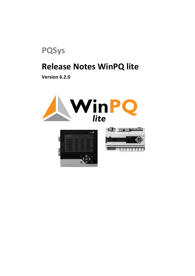

# **Release Notes WinPQ lite**

**Version 6.2.0**





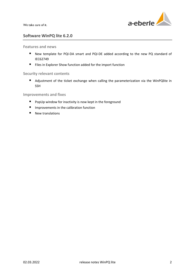

# **Software WinPQ lite 6.2.0**

## **Features and news**

- New template for PQI-DA smart and PQI-DE added according to the new PQ standard of IEC62749
- Files in Explorer Show function added for the import function

## **Security relevant contents**

■ Adjustment of the ticket exchange when calling the parameterization via the WinPQlite in SSH

## **Improvements and fixes**

- **P** PopUp window for inactivity is now kept in the foreground
- **Improvements in the calibration function**
- $\blacksquare$  New translations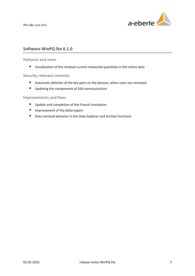

# **Software WinPQ lite 6.1.0**

#### **Features and news**

Visualization of the residual current measured quantities in the online data

## **Security relevant contents**

- Automatic deletion of the key pairs on the devices, when users are removed
- **Updating the components of SSH communication**

# **Improvements and fixes**

- Update and completion of the French translation
- **Improvement of the delta export**
- Data retrieval behavior in the Data Explorer and Archive functions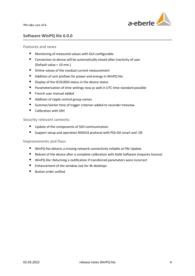

# **Software WinPQ lite 6.0.0**

**Features and news**

- Monitoring of measured values with GUI configurable
- Connection to device will be automatically closed after inactivity of user (Default value = 10 min.)
- Online values of the residual current measurement
- Addition of unit prefixes for power and energy in WinPQ lite
- Display of the IEC61850 status in the device status
- **Parameterization of time settings now as well in UTC time standard possible**
- French user manual added
- Addition of ripple control group names
- Summer/winter time of trigger criterion added to recorder treeview
- Calibration with SSH

#### **Security relevant contents**

- Update of the components of SSH communication
- Support setup and operation RADIUS protocol with PQI-DA smart and -DE

#### **Improvements and fixes**

- WinPQ lite detects a missing network connectivity reliable at FW-Update
- Reboot of the device after a complete calibration with Kalib Software (requires licence)
- WinPQ lite: Returning a notification if transferred parameters were incorrect
- Enhancement of the window size for 4k desktops
- Button order unified